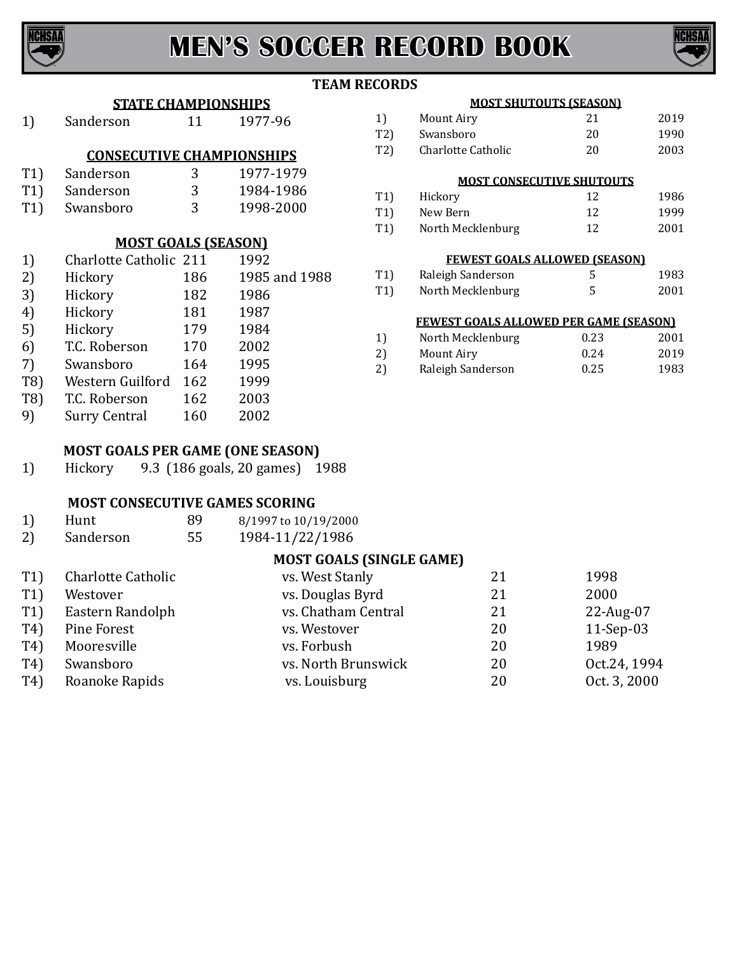



### **TEAM RECORDS**

### **STATE CHAMPIONSHIPS**

|     | этите сигичи голонин э           |      |                |
|-----|----------------------------------|------|----------------|
| 1)  | Sanderson                        | 11   | 1977-96        |
|     | <b>CONSECUTIVE CHAMPIONSHIPS</b> |      |                |
| T1) | Sanderson                        | 3    | 1977-1979      |
|     |                                  |      |                |
| T1) | Sanderson                        | 3    | 1984-1986      |
| T1) | Swansboro                        | 3    | 1998-2000      |
|     |                                  |      |                |
|     | <b>MOST GOALS (SEASON)</b>       |      |                |
| 1)  | Charlotte Catholic 211           |      | 1992           |
| 2)  | Hickory                          | 186  | 1985 and 1988  |
| ר ר | $H = -1$                         | 1 ດາ | 100 $\epsilon$ |

| <b>MOST GOALS (SEASON)</b> |                        |     |               |  |
|----------------------------|------------------------|-----|---------------|--|
| 1)                         | Charlotte Catholic 211 |     | 1992          |  |
| 2)                         | Hickory                | 186 | 1985 and 1988 |  |
| 3)                         | Hickory                | 182 | 1986          |  |
| 4)                         | Hickory                | 181 | 1987          |  |
| 5)                         | Hickory                | 179 | 1984          |  |
| ሬ ነ                        | TC Doborcon            | 170 | າດດາ          |  |

# 6) T.C. Roberson 170 2002<br>7) Swansboro 164 1995 7) Swansboro 164 1995

- T8) Western Guilford 162 1999<br>T8) T.C. Roberson 162 2003
- T8) T.C. Roberson 162 2003<br>
9) Surry Central 160 2002 Surry Central

# **MOST GOALS PER GAME (ONE SEASON)**

1) Hickory 9.3 (186 goals, 20 games) 1988

# **MOST CONSECUTIVE GAMES SCORING**

| 1) | Hunt      | 89 | 8/1997 to 10/19/2000 |
|----|-----------|----|----------------------|
| 2) | Sanderson | 55 | 1984-11/22/1986      |

# **MOST GOALS (SINGLE GAME)**

| T1)            | Charlotte Catholic | vs. West Stanly     | 21 | 1998         |
|----------------|--------------------|---------------------|----|--------------|
| T1)            | Westover           | vs. Douglas Byrd    | 21 | 2000         |
| T1)            | Eastern Randolph   | vs. Chatham Central | 21 | $22$ -Aug-07 |
| T <sub>4</sub> | Pine Forest        | vs. Westover        | 20 | $11-Sep-03$  |
| T4)            | Mooresville        | vs. Forbush         | 20 | 1989         |
| T4)            | Swansboro          | vs. North Brunswick | 20 | Oct.24, 1994 |
| T4)            | Roanoke Rapids     | vs. Louisburg       | 20 | Oct. 3, 2000 |
|                |                    |                     |    |              |

### **MOST SHUTOUTS (SEASON)**

| 1)  | Mount Airy         | 21 | 2019 |
|-----|--------------------|----|------|
| T2) | Swansboro          | 20 | 1990 |
| T2) | Charlotte Catholic | 20 | 2003 |

### **MOST CONSECUTIVE SHUTOUTS**

| T1) | Hickory           | 12 | 1986 |
|-----|-------------------|----|------|
| T1) | New Bern          | 12 | 1999 |
| T1) | North Mecklenburg | 12 | 2001 |

### **FEWEST GOALS ALLOWED (SEASON)**

| T1) | Raleigh Sanderson | 1983 |
|-----|-------------------|------|
| T1) | North Mecklenburg | 2001 |

### **FEWEST GOALS ALLOWED PER GAME (SEASON)**

| 1) | North Mecklenburg | 0.23 | 2001 |
|----|-------------------|------|------|
| 2) | Mount Airy        | 0.24 | 2019 |
| 2) | Raleigh Sanderson | 0.25 | 1983 |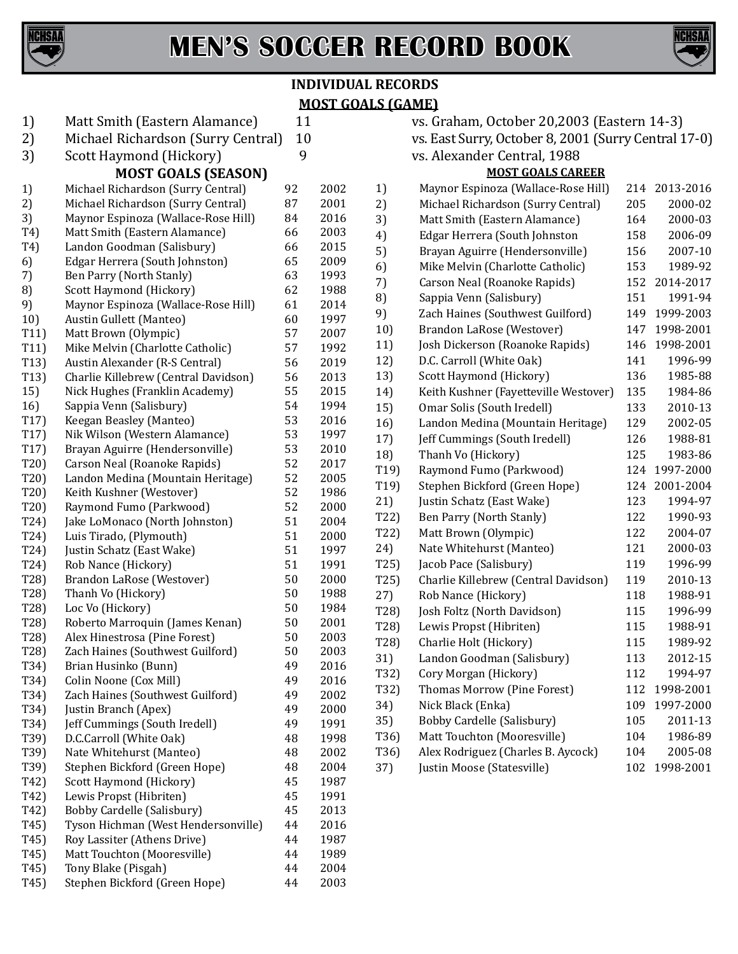

# **MEN'S SOCCER RECORD BOOK**



# **INDIVIDUAL RECORDS MOST GOALS (GAME)**

| 1)                | Matt Smith (Eastern Alamance)        | 11 |      |
|-------------------|--------------------------------------|----|------|
| 2)                | Michael Richardson (Surry Central)   | 10 |      |
| 3)                | Scott Haymond (Hickory)              | 9  |      |
|                   | <b>MOST GOALS (SEASON)</b>           |    |      |
| 1)                | Michael Richardson (Surry Central)   | 92 | 2002 |
| 2)                | Michael Richardson (Surry Central)   | 87 | 2001 |
| 3)                | Maynor Espinoza (Wallace-Rose Hill)  | 84 | 2016 |
| T4)               | Matt Smith (Eastern Alamance)        | 66 | 2003 |
| T4)               | Landon Goodman (Salisbury)           | 66 | 2015 |
| 6)                | Edgar Herrera (South Johnston)       | 65 | 2009 |
| 7)                | Ben Parry (North Stanly)             | 63 | 1993 |
| 8)                | Scott Haymond (Hickory)              | 62 | 1988 |
| 9)                |                                      | 61 | 2014 |
|                   | Maynor Espinoza (Wallace-Rose Hill)  | 60 | 1997 |
| 10)               | Austin Gullett (Manteo)              | 57 |      |
| T11)              | Matt Brown (Olympic)                 | 57 | 2007 |
| T11)              | Mike Melvin (Charlotte Catholic)     | 56 | 1992 |
| T13)              | Austin Alexander (R-S Central)       |    | 2019 |
| T13)              | Charlie Killebrew (Central Davidson) | 56 | 2013 |
| 15)               | Nick Hughes (Franklin Academy)       | 55 | 2015 |
| 16)               | Sappia Venn (Salisbury)              | 54 | 1994 |
| T17)              | Keegan Beasley (Manteo)              | 53 | 2016 |
| T <sub>17</sub> ) | Nik Wilson (Western Alamance)        | 53 | 1997 |
| T <sub>17</sub> ) | Brayan Aguirre (Hendersonville)      | 53 | 2010 |
| T20)              | Carson Neal (Roanoke Rapids)         | 52 | 2017 |
| T20)              | Landon Medina (Mountain Heritage)    | 52 | 2005 |
| T20)              | Keith Kushner (Westover)             | 52 | 1986 |
| T20)              | Raymond Fumo (Parkwood)              | 52 | 2000 |
| T24)              | Jake LoMonaco (North Johnston)       | 51 | 2004 |
| T24)              | Luis Tirado, (Plymouth)              | 51 | 2000 |
| T24)              | Justin Schatz (East Wake)            | 51 | 1997 |
| T24)              | Rob Nance (Hickory)                  | 51 | 1991 |
| T28)              | Brandon LaRose (Westover)            | 50 | 2000 |
| T28)              | Thanh Vo (Hickory)                   | 50 | 1988 |
| T28)              | Loc Vo (Hickory)                     | 50 | 1984 |
| T28)              | Roberto Marroquin (James Kenan)      | 50 | 2001 |
| T28)              | Alex Hinestrosa (Pine Forest)        | 50 | 2003 |
| T28)              | Zach Haines (Southwest Guilford)     | 50 | 2003 |
| T34)              | Brian Husinko (Bunn)                 | 49 | 2016 |
| T34)              | Colin Noone (Cox Mill)               | 49 | 2016 |
| T34)              | Zach Haines (Southwest Guilford)     | 49 | 2002 |
| T34)              | Justin Branch (Apex)                 | 49 | 2000 |
| T34)              | Jeff Cummings (South Iredell)        | 49 | 1991 |
| T39)              | D.C.Carroll (White Oak)              | 48 | 1998 |
| T39)              | Nate Whitehurst (Manteo)             | 48 | 2002 |
| T39)              | Stephen Bickford (Green Hope)        | 48 | 2004 |
| T42)              | Scott Haymond (Hickory)              | 45 | 1987 |
| T42)              | Lewis Propst (Hibriten)              | 45 | 1991 |
| T42)              | Bobby Cardelle (Salisbury)           | 45 | 2013 |
| T <sub>45</sub> ) | Tyson Hichman (West Hendersonville)  | 44 | 2016 |
| T <sub>45</sub> ) | Roy Lassiter (Athens Drive)          | 44 | 1987 |
| T <sub>45</sub> ) | Matt Touchton (Mooresville)          | 44 | 1989 |
| T <sub>45</sub> ) | Tony Blake (Pisgah)                  | 44 | 2004 |
| T <sub>45</sub> ) | Stephen Bickford (Green Hope)        | 44 | 2003 |
|                   |                                      |    |      |

vs. Graham, October 20,2003 (Eastern 14-3) vs. East Surry, October 8, 2001 (Surry Central 17-0) vs. Alexander Central, 1988

| <b>MOST GOALS CAREER</b> |                                       |     |           |  |
|--------------------------|---------------------------------------|-----|-----------|--|
| 1)                       | Maynor Espinoza (Wallace-Rose Hill)   | 214 | 2013-2016 |  |
| 2)                       | Michael Richardson (Surry Central)    | 205 | 2000-02   |  |
| 3)                       | Matt Smith (Eastern Alamance)         | 164 | 2000-03   |  |
| 4)                       | Edgar Herrera (South Johnston         | 158 | 2006-09   |  |
| 5)                       | Brayan Aguirre (Hendersonville)       | 156 | 2007-10   |  |
| 6)                       | Mike Melvin (Charlotte Catholic)      | 153 | 1989-92   |  |
| 7)                       | Carson Neal (Roanoke Rapids)          | 152 | 2014-2017 |  |
| 8)                       | Sappia Venn (Salisbury)               | 151 | 1991-94   |  |
| 9)                       | Zach Haines (Southwest Guilford)      | 149 | 1999-2003 |  |
| 10)                      | Brandon LaRose (Westover)             | 147 | 1998-2001 |  |
| 11)                      | Josh Dickerson (Roanoke Rapids)       | 146 | 1998-2001 |  |
| 12)                      | D.C. Carroll (White Oak)              | 141 | 1996-99   |  |
| 13)                      | Scott Haymond (Hickory)               | 136 | 1985-88   |  |
| 14)                      | Keith Kushner (Fayetteville Westover) | 135 | 1984-86   |  |
| 15)                      | Omar Solis (South Iredell)            | 133 | 2010-13   |  |
| 16)                      | Landon Medina (Mountain Heritage)     | 129 | 2002-05   |  |
| 17)                      | Jeff Cummings (South Iredell)         | 126 | 1988-81   |  |
| 18)                      | Thanh Vo (Hickory)                    | 125 | 1983-86   |  |
| T19)                     | Raymond Fumo (Parkwood)               | 124 | 1997-2000 |  |
| T19                      | Stephen Bickford (Green Hope)         | 124 | 2001-2004 |  |
| 21)                      | Justin Schatz (East Wake)             | 123 | 1994-97   |  |
| T22)                     | Ben Parry (North Stanly)              | 122 | 1990-93   |  |
| T22)                     | Matt Brown (Olympic)                  | 122 | 2004-07   |  |
| 24)                      | Nate Whitehurst (Manteo)              | 121 | 2000-03   |  |
| T25)                     | Jacob Pace (Salisbury)                | 119 | 1996-99   |  |
| T25)                     | Charlie Killebrew (Central Davidson)  | 119 | 2010-13   |  |
| 27)                      | Rob Nance (Hickory)                   | 118 | 1988-91   |  |
| T28)                     | Josh Foltz (North Davidson)           | 115 | 1996-99   |  |
| T28)                     | Lewis Propst (Hibriten)               | 115 | 1988-91   |  |
| T28)                     | Charlie Holt (Hickory)                | 115 | 1989-92   |  |
| 31)                      | Landon Goodman (Salisbury)            | 113 | 2012-15   |  |
| T32)                     | Cory Morgan (Hickory)                 | 112 | 1994-97   |  |
| T32)                     | Thomas Morrow (Pine Forest)           | 112 | 1998-2001 |  |
| 34)                      | Nick Black (Enka)                     | 109 | 1997-2000 |  |
| 35)                      | Bobby Cardelle (Salisbury)            | 105 | 2011-13   |  |
| T36)                     | Matt Touchton (Mooresville)           | 104 | 1986-89   |  |
| T36)                     | Alex Rodriguez (Charles B. Aycock)    | 104 | 2005-08   |  |
| 37)                      | Justin Moose (Statesville)            | 102 | 1998-2001 |  |
|                          |                                       |     |           |  |